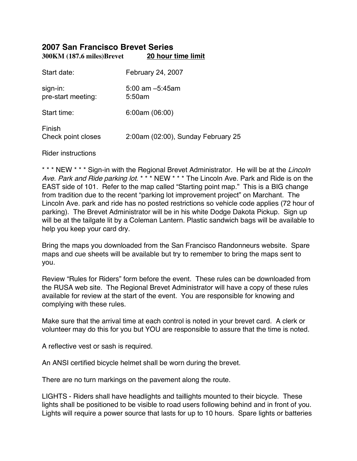# **2007 San Francisco Brevet Series 300KM (187.6 miles)Brevet 20 hour time limit**

| Start date:                    | February 24, 2007                  |
|--------------------------------|------------------------------------|
| sign-in:<br>pre-start meeting: | $5.00$ am $-5.45$ am<br>5:50am     |
| Start time:                    | 6:00am(06:00)                      |
| Finish<br>Check point closes   | 2:00am (02:00), Sunday February 25 |

Rider instructions

\* \* \* NEW \* \* \* Sign-in with the Regional Brevet Administrator. He will be at the Lincoln Ave. Park and Ride parking lot. \*\*\* NEW \*\*\* The Lincoln Ave. Park and Ride is on the EAST side of 101. Refer to the map called "Starting point map." This is a BIG change from tradition due to the recent "parking lot improvement project" on Marchant. The Lincoln Ave. park and ride has no posted restrictions so vehicle code applies (72 hour of parking). The Brevet Administrator will be in his white Dodge Dakota Pickup. Sign up will be at the tailgate lit by a Coleman Lantern. Plastic sandwich bags will be available to help you keep your card dry.

Bring the maps you downloaded from the San Francisco Randonneurs website. Spare maps and cue sheets will be available but try to remember to bring the maps sent to you.

Review "Rules for Riders" form before the event. These rules can be downloaded from the RUSA web site. The Regional Brevet Administrator will have a copy of these rules available for review at the start of the event. You are responsible for knowing and complying with these rules.

Make sure that the arrival time at each control is noted in your brevet card. A clerk or volunteer may do this for you but YOU are responsible to assure that the time is noted.

A reflective vest or sash is required.

An ANSI certified bicycle helmet shall be worn during the brevet.

There are no turn markings on the pavement along the route.

LIGHTS - Riders shall have headlights and taillights mounted to their bicycle. These lights shall be positioned to be visible to road users following behind and in front of you. Lights will require a power source that lasts for up to 10 hours. Spare lights or batteries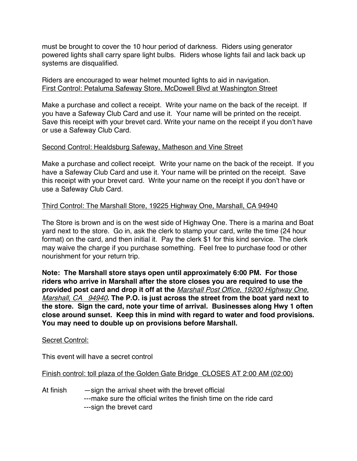must be brought to cover the 10 hour period of darkness. Riders using generator powered lights shall carry spare light bulbs. Riders whose lights fail and lack back up systems are disqualified.

### Riders are encouraged to wear helmet mounted lights to aid in navigation. First Control: Petaluma Safeway Store, McDowell Blvd at Washington Street

Make a purchase and collect a receipt. Write your name on the back of the receipt. If you have a Safeway Club Card and use it. Your name will be printed on the receipt. Save this receipt with your brevet card. Write your name on the receipt if you don't have or use a Safeway Club Card.

### Second Control: Healdsburg Safeway, Matheson and Vine Street

Make a purchase and collect receipt. Write your name on the back of the receipt. If you have a Safeway Club Card and use it. Your name will be printed on the receipt. Save this receipt with your brevet card. Write your name on the receipt if you don't have or use a Safeway Club Card.

### Third Control: The Marshall Store, 19225 Highway One, Marshall, CA 94940

The Store is brown and is on the west side of Highway One. There is a marina and Boat yard next to the store. Go in, ask the clerk to stamp your card, write the time (24 hour format) on the card, and then initial it. Pay the clerk \$1 for this kind service. The clerk may waive the charge if you purchase something. Feel free to purchase food or other nourishment for your return trip.

**Note: The Marshall store stays open until approximately 6:00 PM. For those riders who arrive in Marshall after the store closes you are required to use the provided post card and drop it off at the** Marshall Post Office, 19200 Highway One, Marshall, CA 94940**. The P.O. is just across the street from the boat yard next to the store. Sign the card, note your time of arrival. Businesses along Hwy 1 often close around sunset. Keep this in mind with regard to water and food provisions. You may need to double up on provisions before Marshall.**

### Secret Control:

This event will have a secret control

### Finish control: toll plaza of the Golden Gate Bridge CLOSES AT 2:00 AM (02:00)

At finish — sign the arrival sheet with the brevet official ---make sure the official writes the finish time on the ride card ---sign the brevet card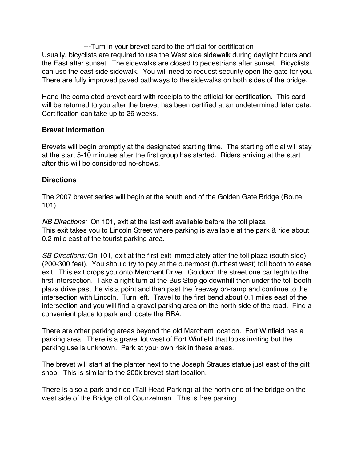---Turn in your brevet card to the official for certification Usually, bicyclists are required to use the West side sidewalk during daylight hours and the East after sunset. The sidewalks are closed to pedestrians after sunset. Bicyclists can use the east side sidewalk. You will need to request security open the gate for you. There are fully improved paved pathways to the sidewalks on both sides of the bridge.

Hand the completed brevet card with receipts to the official for certification. This card will be returned to you after the brevet has been certified at an undetermined later date. Certification can take up to 26 weeks.

#### **Brevet Information**

Brevets will begin promptly at the designated starting time. The starting official will stay at the start 5-10 minutes after the first group has started. Riders arriving at the start after this will be considered no-shows.

#### **Directions**

The 2007 brevet series will begin at the south end of the Golden Gate Bridge (Route 101).

NB Directions: On 101, exit at the last exit available before the toll plaza This exit takes you to Lincoln Street where parking is available at the park & ride about 0.2 mile east of the tourist parking area.

SB Directions: On 101, exit at the first exit immediately after the toll plaza (south side) (200-300 feet). You should try to pay at the outermost (furthest west) toll booth to ease exit. This exit drops you onto Merchant Drive. Go down the street one car legth to the first intersection. Take a right turn at the Bus Stop go downhill then under the toll booth plaza drive past the vista point and then past the freeway on-ramp and continue to the intersection with Lincoln. Turn left. Travel to the first bend about 0.1 miles east of the intersection and you will find a gravel parking area on the north side of the road. Find a convenient place to park and locate the RBA.

There are other parking areas beyond the old Marchant location. Fort Winfield has a parking area. There is a gravel lot west of Fort Winfield that looks inviting but the parking use is unknown. Park at your own risk in these areas.

The brevet will start at the planter next to the Joseph Strauss statue just east of the gift shop. This is similar to the 200k brevet start location.

There is also a park and ride (Tail Head Parking) at the north end of the bridge on the west side of the Bridge off of Counzelman. This is free parking.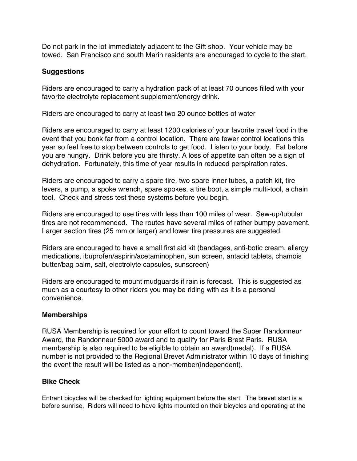Do not park in the lot immediately adjacent to the Gift shop. Your vehicle may be towed. San Francisco and south Marin residents are encouraged to cycle to the start.

## **Suggestions**

Riders are encouraged to carry a hydration pack of at least 70 ounces filled with your favorite electrolyte replacement supplement/energy drink.

Riders are encouraged to carry at least two 20 ounce bottles of water

Riders are encouraged to carry at least 1200 calories of your favorite travel food in the event that you bonk far from a control location. There are fewer control locations this year so feel free to stop between controls to get food. Listen to your body. Eat before you are hungry. Drink before you are thirsty. A loss of appetite can often be a sign of dehydration. Fortunately, this time of year results in reduced perspiration rates.

Riders are encouraged to carry a spare tire, two spare inner tubes, a patch kit, tire levers, a pump, a spoke wrench, spare spokes, a tire boot, a simple multi-tool, a chain tool. Check and stress test these systems before you begin.

Riders are encouraged to use tires with less than 100 miles of wear. Sew-up/tubular tires are not recommended. The routes have several miles of rather bumpy pavement. Larger section tires (25 mm or larger) and lower tire pressures are suggested.

Riders are encouraged to have a small first aid kit (bandages, anti-botic cream, allergy medications, ibuprofen/aspirin/acetaminophen, sun screen, antacid tablets, chamois butter/bag balm, salt, electrolyte capsules, sunscreen)

Riders are encouraged to mount mudguards if rain is forecast. This is suggested as much as a courtesy to other riders you may be riding with as it is a personal convenience.

## **Memberships**

RUSA Membership is required for your effort to count toward the Super Randonneur Award, the Randonneur 5000 award and to qualify for Paris Brest Paris. RUSA membership is also required to be eligible to obtain an award(medal). If a RUSA number is not provided to the Regional Brevet Administrator within 10 days of finishing the event the result will be listed as a non-member(independent).

## **Bike Check**

Entrant bicycles will be checked for lighting equipment before the start. The brevet start is a before sunrise, Riders will need to have lights mounted on their bicycles and operating at the